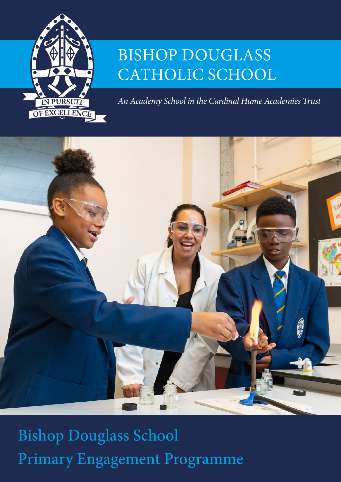

# BISHOP DOUGLASS CATHOLIC SCHOOL

*An Academy School in the Cardinal Hume Academies Trust*



Bishop Douglass School Primary Engagement Programme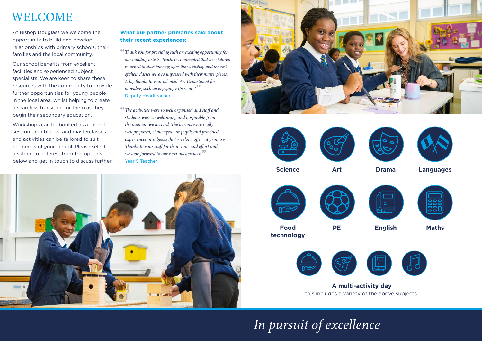At Bishop Douglass we welcome the opportunity to build and develop relationships with primary schools, their families and the local community.

Our school benefits from excellent facilities and experienced subject specialists. We are keen to share these resources with the community to provide further opportunities for young people in the local area, whilst helping to create a seamless transition for them as they begin their secondary education.

Workshops can be booked as a one-off session or in blocks; and masterclasses and activities can be tailored to suit the needs of your school. Please select a subject of interest from the options below and get in touch to discuss further.

*In pursuit of excellence*



**Science**

**Food technology**

> **A multi-activity day** this includes a variety of the above subjects.

**Art**

![](_page_1_Picture_12.jpeg)

![](_page_1_Picture_13.jpeg)

**PE**

![](_page_1_Picture_17.jpeg)

![](_page_1_Picture_21.jpeg)

![](_page_1_Picture_22.jpeg)

## WELCOME

## **What our partner primaries said about their recent experiences:**

**"***Thank you for providing such an exciting opportunity for our budding artists. Teachers commented that the children returned to class buzzing after the workshop and the rest of their classes were so impressed with their masterpieces. A big thanks to your talented Art Department for providing such an engaging experience!***"** Deputy Headteacher

**"***The activities were so well organised and staff and students were so welcoming and hospitable from the moment we arrived. The lessons were really well prepared, challenged our pupils and provided experiences in subjects that we don't offer at primary. Thanks to your staff for their time and effort and we look forward to our next masterclass!***"** Year 5 Teacher

![](_page_1_Picture_7.jpeg)

![](_page_1_Picture_8.jpeg)

![](_page_1_Picture_9.jpeg)